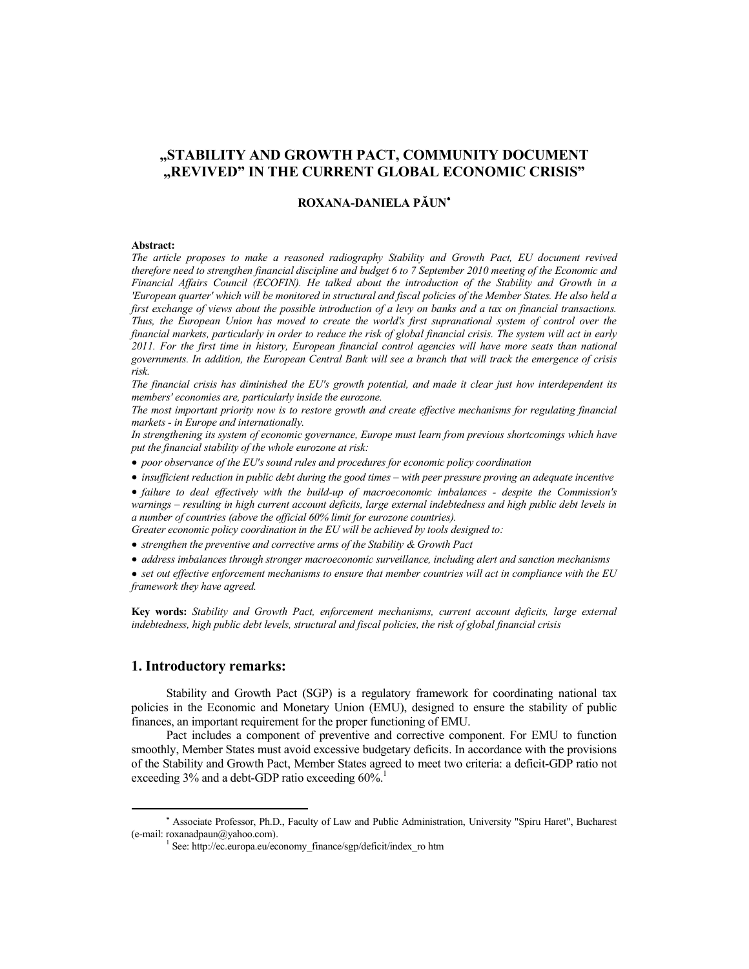# **"STABILITY AND GROWTH PACT, COMMUNITY DOCUMENT "REVIVED" IN THE CURRENT GLOBAL ECONOMIC CRISIS"**

## **ROXANA-DANIELA PĂUN\***

#### **Abstract:**

*The article proposes to make a reasoned radiography Stability and Growth Pact, EU document revived therefore need to strengthen financial discipline and budget 6 to 7 September 2010 meeting of the Economic and Financial Affairs Council (ECOFIN). He talked about the introduction of the Stability and Growth in a 'European quarter' which will be monitored in structural and fiscal policies of the Member States. He also held a first exchange of views about the possible introduction of a levy on banks and a tax on financial transactions. Thus, the European Union has moved to create the world's first supranational system of control over the financial markets, particularly in order to reduce the risk of global financial crisis. The system will act in early 2011. For the first time in history, European financial control agencies will have more seats than national governments. In addition, the European Central Bank will see a branch that will track the emergence of crisis risk.* 

*The financial crisis has diminished the EU's growth potential, and made it clear just how interdependent its members' economies are, particularly inside the eurozone.* 

*The most important priority now is to restore growth and create effective mechanisms for regulating financial markets - in Europe and internationally.* 

*In strengthening its system of economic governance, Europe must learn from previous shortcomings which have put the financial stability of the whole eurozone at risk:* 

*poor observance of the EU's sound rules and procedures for economic policy coordination* 

*insufficient reduction in public debt during the good times – with peer pressure proving an adequate incentive* 

*failure to deal effectively with the build-up of macroeconomic imbalances - despite the Commission's warnings – resulting in high current account deficits, large external indebtedness and high public debt levels in a number of countries (above the official 60% limit for eurozone countries).* 

*Greater economic policy coordination in the EU will be achieved by tools designed to:* 

*strengthen the preventive and corrective arms of the Stability & Growth Pact* 

*address imbalances through stronger macroeconomic surveillance, including alert and sanction mechanisms* 

*set out effective enforcement mechanisms to ensure that member countries will act in compliance with the EU framework they have agreed.* 

**Key words:** *Stability and Growth Pact, enforcement mechanisms, current account deficits, large external indebtedness, high public debt levels, structural and fiscal policies, the risk of global financial crisis*

## **1. Introductory remarks:**

Stability and Growth Pact (SGP) is a regulatory framework for coordinating national tax policies in the Economic and Monetary Union (EMU), designed to ensure the stability of public finances, an important requirement for the proper functioning of EMU.

Pact includes a component of preventive and corrective component. For EMU to function smoothly, Member States must avoid excessive budgetary deficits. In accordance with the provisions of the Stability and Growth Pact, Member States agreed to meet two criteria: a deficit-GDP ratio not exceeding  $3\%$  and a debt-GDP ratio exceeding  $60\%$ .<sup>1</sup>

Associate Professor, Ph.D., Faculty of Law and Public Administration, University "Spiru Haret", Bucharest (e-mail: roxanadpaun@yahoo.com).

<sup>&</sup>lt;sup>1</sup> See: http://ec.europa.eu/economy\_finance/sgp/deficit/index\_ro htm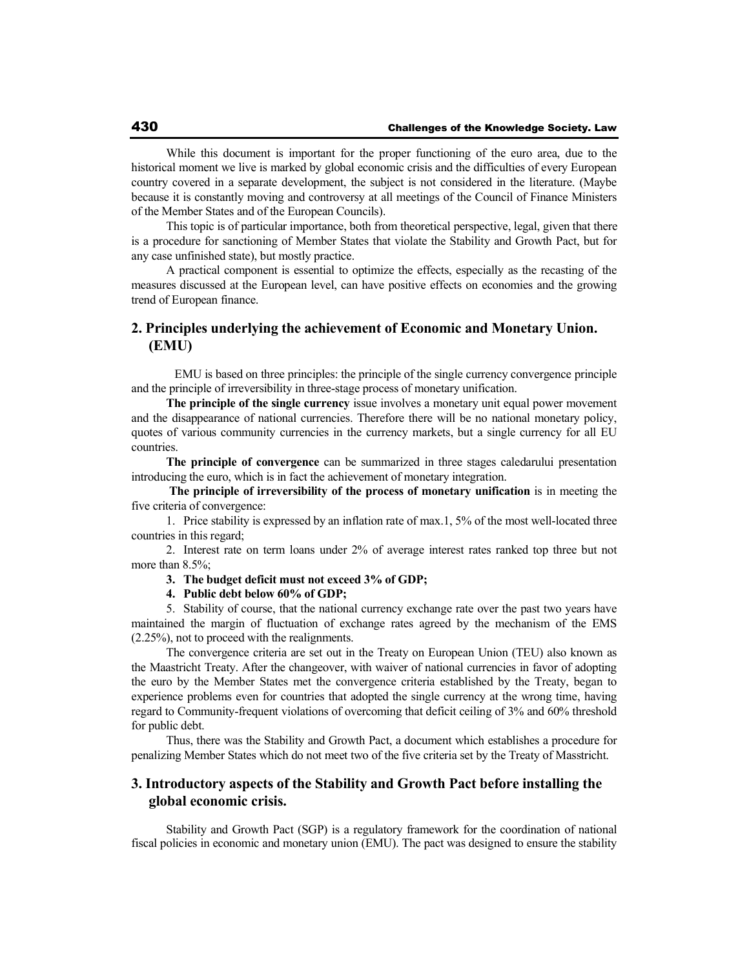While this document is important for the proper functioning of the euro area, due to the historical moment we live is marked by global economic crisis and the difficulties of every European country covered in a separate development, the subject is not considered in the literature. (Maybe because it is constantly moving and controversy at all meetings of the Council of Finance Ministers of the Member States and of the European Councils).

This topic is of particular importance, both from theoretical perspective, legal, given that there is a procedure for sanctioning of Member States that violate the Stability and Growth Pact, but for any case unfinished state), but mostly practice.

A practical component is essential to optimize the effects, especially as the recasting of the measures discussed at the European level, can have positive effects on economies and the growing trend of European finance.

# **2. Principles underlying the achievement of Economic and Monetary Union. (EMU)**

 EMU is based on three principles: the principle of the single currency convergence principle and the principle of irreversibility in three-stage process of monetary unification.

**The principle of the single currency** issue involves a monetary unit equal power movement and the disappearance of national currencies. Therefore there will be no national monetary policy, quotes of various community currencies in the currency markets, but a single currency for all EU countries.

**The principle of convergence** can be summarized in three stages caledarului presentation introducing the euro, which is in fact the achievement of monetary integration.

 **The principle of irreversibility of the process of monetary unification** is in meeting the five criteria of convergence:

1. Price stability is expressed by an inflation rate of max.1, 5% of the most well-located three countries in this regard;

2. Interest rate on term loans under 2% of average interest rates ranked top three but not more than 8.5%;

**3. The budget deficit must not exceed 3% of GDP;** 

**4. Public debt below 60% of GDP;** 

5. Stability of course, that the national currency exchange rate over the past two years have maintained the margin of fluctuation of exchange rates agreed by the mechanism of the EMS (2.25%), not to proceed with the realignments.

The convergence criteria are set out in the Treaty on European Union (TEU) also known as the Maastricht Treaty. After the changeover, with waiver of national currencies in favor of adopting the euro by the Member States met the convergence criteria established by the Treaty, began to experience problems even for countries that adopted the single currency at the wrong time, having regard to Community-frequent violations of overcoming that deficit ceiling of 3% and 60% threshold for public debt.

Thus, there was the Stability and Growth Pact, a document which establishes a procedure for penalizing Member States which do not meet two of the five criteria set by the Treaty of Masstricht.

## **3. Introductory aspects of the Stability and Growth Pact before installing the global economic crisis.**

Stability and Growth Pact (SGP) is a regulatory framework for the coordination of national fiscal policies in economic and monetary union (EMU). The pact was designed to ensure the stability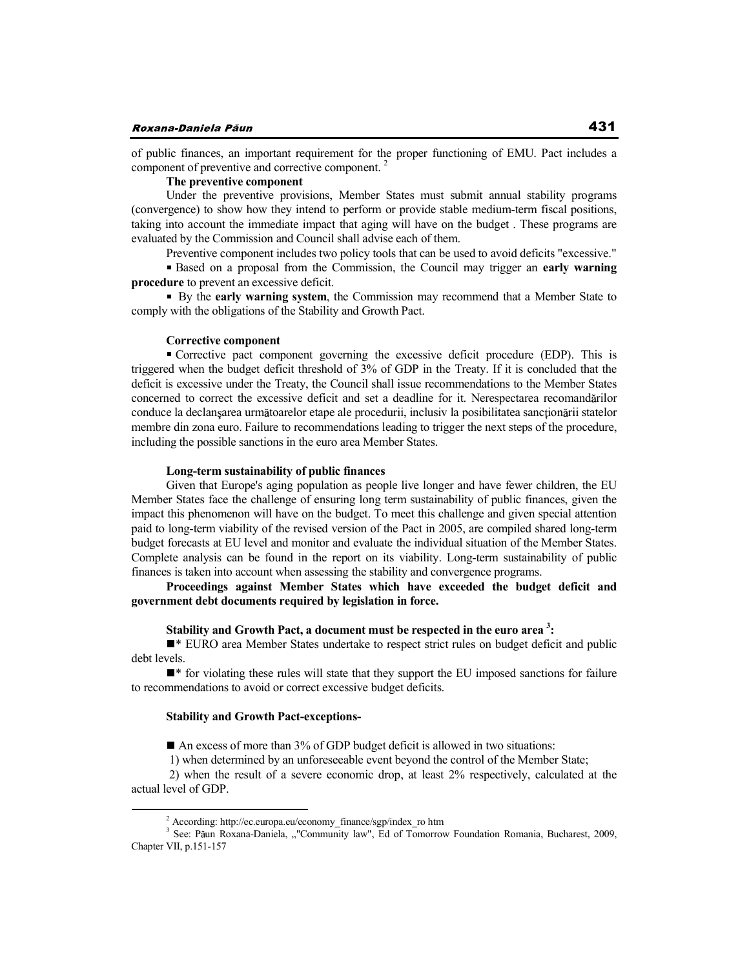of public finances, an important requirement for the proper functioning of EMU. Pact includes a component of preventive and corrective component.

### **The preventive component**

Under the preventive provisions, Member States must submit annual stability programs (convergence) to show how they intend to perform or provide stable medium-term fiscal positions, taking into account the immediate impact that aging will have on the budget . These programs are evaluated by the Commission and Council shall advise each of them.

Preventive component includes two policy tools that can be used to avoid deficits "excessive."

Based on a proposal from the Commission, the Council may trigger an **early warning procedure** to prevent an excessive deficit.

 By the **early warning system**, the Commission may recommend that a Member State to comply with the obligations of the Stability and Growth Pact.

### **Corrective component**

Corrective pact component governing the excessive deficit procedure (EDP). This is triggered when the budget deficit threshold of 3% of GDP in the Treaty. If it is concluded that the deficit is excessive under the Treaty, the Council shall issue recommendations to the Member States concerned to correct the excessive deficit and set a deadline for it. Nerespectarea recomandarilor conduce la declan sarea următoarelor etape ale procedurii, inclusiv la posibilitatea sanctionării statelor membre din zona euro. Failure to recommendations leading to trigger the next steps of the procedure, including the possible sanctions in the euro area Member States.

### **Long-term sustainability of public finances**

Given that Europe's aging population as people live longer and have fewer children, the EU Member States face the challenge of ensuring long term sustainability of public finances, given the impact this phenomenon will have on the budget. To meet this challenge and given special attention paid to long-term viability of the revised version of the Pact in 2005, are compiled shared long-term budget forecasts at EU level and monitor and evaluate the individual situation of the Member States. Complete analysis can be found in the report on its viability. Long-term sustainability of public finances is taken into account when assessing the stability and convergence programs.

**Proceedings against Member States which have exceeded the budget deficit and government debt documents required by legislation in force.** 

## **Stability and Growth Pact, a document must be respected in the euro area <sup>3</sup> :**

\* EURO area Member States undertake to respect strict rules on budget deficit and public debt levels.

\* for violating these rules will state that they support the EU imposed sanctions for failure to recommendations to avoid or correct excessive budget deficits.

#### **Stability and Growth Pact-exceptions-**

An excess of more than 3% of GDP budget deficit is allowed in two situations:

1) when determined by an unforeseeable event beyond the control of the Member State;

 2) when the result of a severe economic drop, at least 2% respectively, calculated at the actual level of GDP.

<sup>&</sup>lt;sup>2</sup> According: http://ec.europa.eu/economy\_finance/sgp/index\_ro htm<br><sup>3</sup> See: Păun Roxana-Daniela, ""Community law", Ed of Tomorrow Foundation Romania, Bucharest, 2009, Chapter VII, p.151-157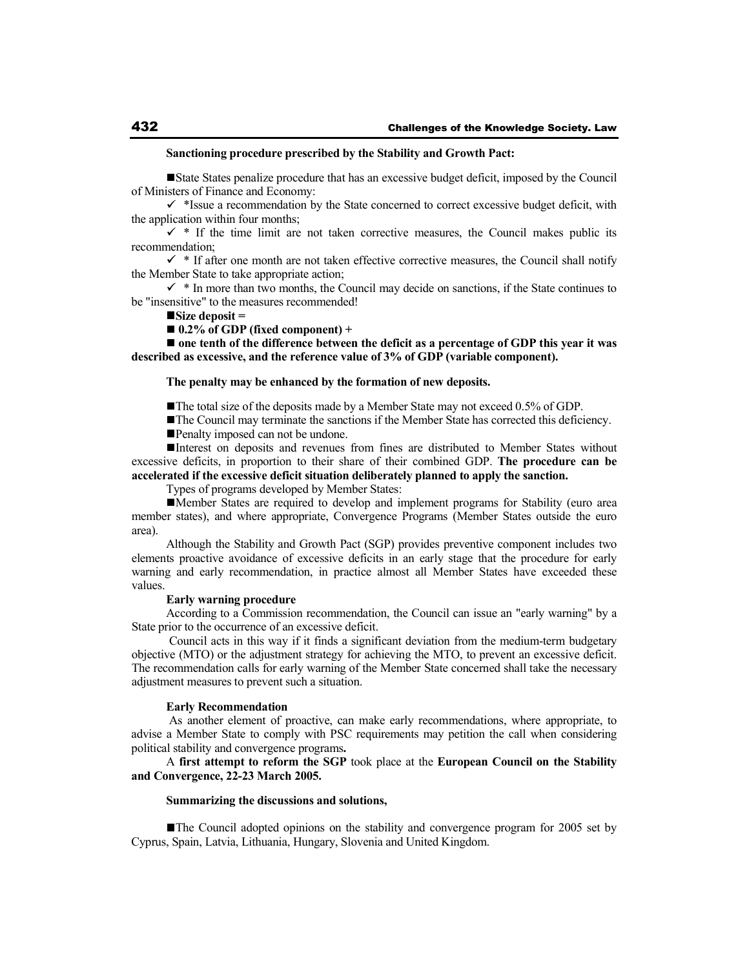#### **Sanctioning procedure prescribed by the Stability and Growth Pact:**

State States penalize procedure that has an excessive budget deficit, imposed by the Council of Ministers of Finance and Economy:

 $\checkmark$  \*Issue a recommendation by the State concerned to correct excessive budget deficit, with the application within four months;

 $\checkmark$  \* If the time limit are not taken corrective measures, the Council makes public its recommendation;

 $\checkmark$  \* If after one month are not taken effective corrective measures, the Council shall notify the Member State to take appropriate action;

 $\checkmark$  \* In more than two months, the Council may decide on sanctions, if the State continues to be "insensitive" to the measures recommended!

**Size deposit =** 

 $\blacksquare$  0.2% of GDP (fixed component) +

■ one tenth of the difference between the deficit as a percentage of GDP this year it was **described as excessive, and the reference value of 3% of GDP (variable component).** 

**The penalty may be enhanced by the formation of new deposits.** 

The total size of the deposits made by a Member State may not exceed 0.5% of GDP.

The Council may terminate the sanctions if the Member State has corrected this deficiency. Penalty imposed can not be undone.

Interest on deposits and revenues from fines are distributed to Member States without excessive deficits, in proportion to their share of their combined GDP. **The procedure can be accelerated if the excessive deficit situation deliberately planned to apply the sanction.**

Types of programs developed by Member States:

Member States are required to develop and implement programs for Stability (euro area member states), and where appropriate, Convergence Programs (Member States outside the euro area).

Although the Stability and Growth Pact (SGP) provides preventive component includes two elements proactive avoidance of excessive deficits in an early stage that the procedure for early warning and early recommendation, in practice almost all Member States have exceeded these values.

### **Early warning procedure**

According to a Commission recommendation, the Council can issue an "early warning" by a State prior to the occurrence of an excessive deficit.

 Council acts in this way if it finds a significant deviation from the medium-term budgetary objective (MTO) or the adjustment strategy for achieving the MTO, to prevent an excessive deficit. The recommendation calls for early warning of the Member State concerned shall take the necessary adjustment measures to prevent such a situation.

#### **Early Recommendation**

As another element of proactive, can make early recommendations, where appropriate, to advise a Member State to comply with PSC requirements may petition the call when considering political stability and convergence programs**.**

A **first attempt to reform the SGP** took place at the **European Council on the Stability and Convergence, 22-23 March 2005.** 

#### **Summarizing the discussions and solutions,**

The Council adopted opinions on the stability and convergence program for 2005 set by Cyprus, Spain, Latvia, Lithuania, Hungary, Slovenia and United Kingdom.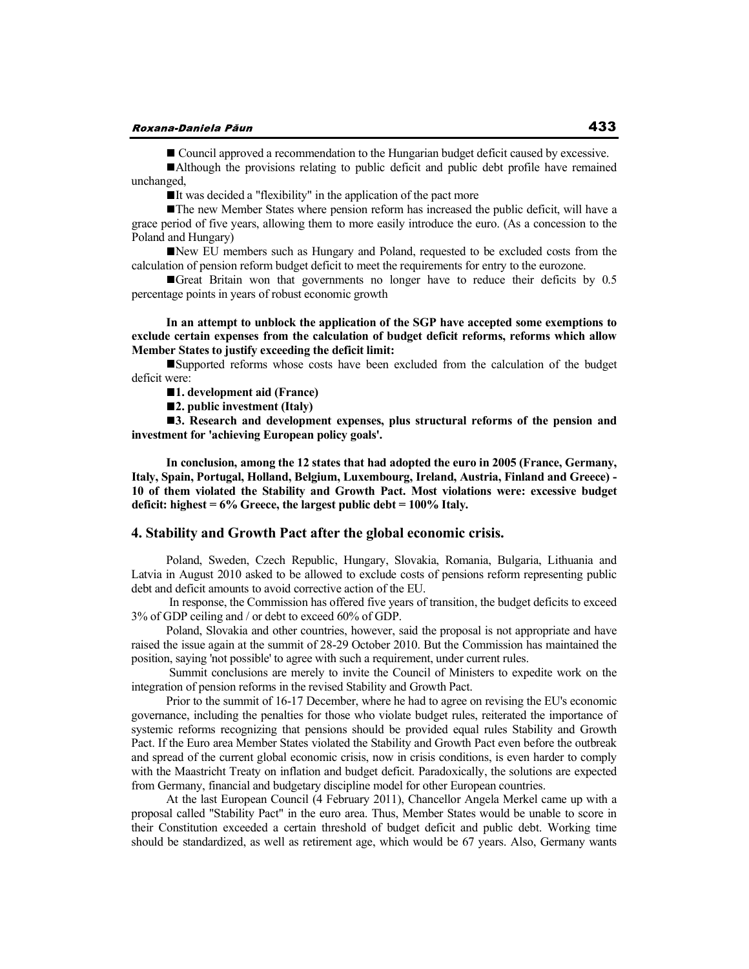■ Council approved a recommendation to the Hungarian budget deficit caused by excessive.

Although the provisions relating to public deficit and public debt profile have remained unchanged,

 $\blacksquare$ It was decided a "flexibility" in the application of the pact more

The new Member States where pension reform has increased the public deficit, will have a grace period of five years, allowing them to more easily introduce the euro. (As a concession to the Poland and Hungary)

New EU members such as Hungary and Poland, requested to be excluded costs from the calculation of pension reform budget deficit to meet the requirements for entry to the eurozone.

Great Britain won that governments no longer have to reduce their deficits by 0.5 percentage points in years of robust economic growth

**In an attempt to unblock the application of the SGP have accepted some exemptions to exclude certain expenses from the calculation of budget deficit reforms, reforms which allow Member States to justify exceeding the deficit limit:**

Supported reforms whose costs have been excluded from the calculation of the budget deficit were:

**1. development aid (France)** 

**2. public investment (Italy)** 

**3.** Research and development expenses, plus structural reforms of the pension and **investment for 'achieving European policy goals'.** 

**In conclusion, among the 12 states that had adopted the euro in 2005 (France, Germany, Italy, Spain, Portugal, Holland, Belgium, Luxembourg, Ireland, Austria, Finland and Greece) - 10 of them violated the Stability and Growth Pact. Most violations were: excessive budget deficit: highest = 6% Greece, the largest public debt = 100% Italy.** 

### **4. Stability and Growth Pact after the global economic crisis.**

Poland, Sweden, Czech Republic, Hungary, Slovakia, Romania, Bulgaria, Lithuania and Latvia in August 2010 asked to be allowed to exclude costs of pensions reform representing public debt and deficit amounts to avoid corrective action of the EU.

 In response, the Commission has offered five years of transition, the budget deficits to exceed 3% of GDP ceiling and / or debt to exceed 60% of GDP.

Poland, Slovakia and other countries, however, said the proposal is not appropriate and have raised the issue again at the summit of 28-29 October 2010. But the Commission has maintained the position, saying 'not possible' to agree with such a requirement, under current rules.

 Summit conclusions are merely to invite the Council of Ministers to expedite work on the integration of pension reforms in the revised Stability and Growth Pact.

Prior to the summit of 16-17 December, where he had to agree on revising the EU's economic governance, including the penalties for those who violate budget rules, reiterated the importance of systemic reforms recognizing that pensions should be provided equal rules Stability and Growth Pact. If the Euro area Member States violated the Stability and Growth Pact even before the outbreak and spread of the current global economic crisis, now in crisis conditions, is even harder to comply with the Maastricht Treaty on inflation and budget deficit. Paradoxically, the solutions are expected from Germany, financial and budgetary discipline model for other European countries.

At the last European Council (4 February 2011), Chancellor Angela Merkel came up with a proposal called "Stability Pact" in the euro area. Thus, Member States would be unable to score in their Constitution exceeded a certain threshold of budget deficit and public debt. Working time should be standardized, as well as retirement age, which would be 67 years. Also, Germany wants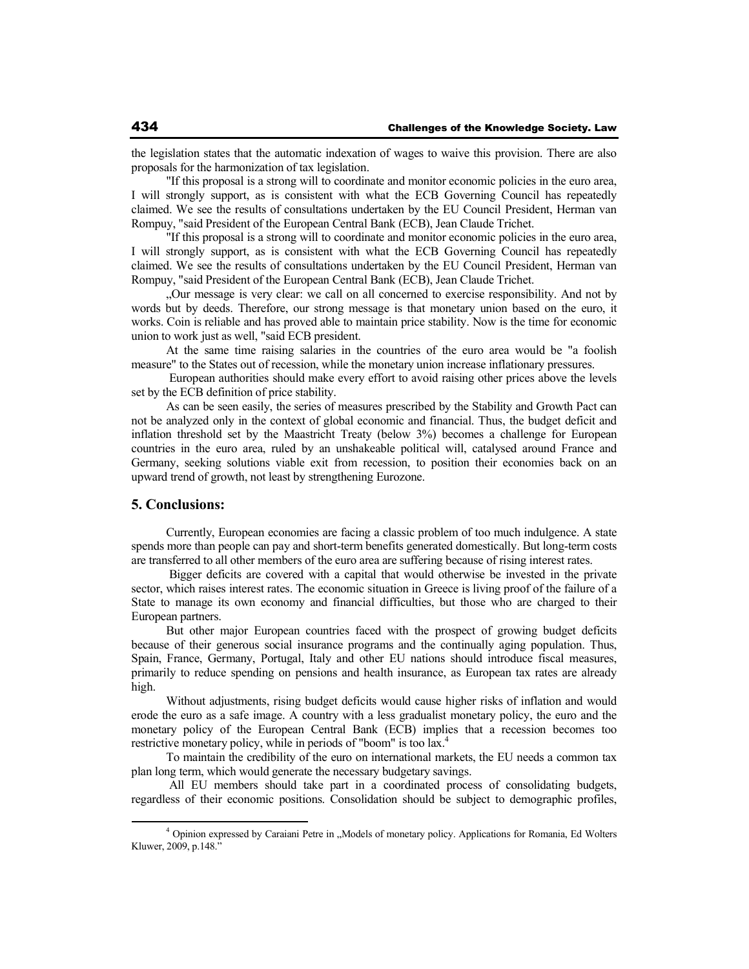the legislation states that the automatic indexation of wages to waive this provision. There are also proposals for the harmonization of tax legislation.

"If this proposal is a strong will to coordinate and monitor economic policies in the euro area, I will strongly support, as is consistent with what the ECB Governing Council has repeatedly claimed. We see the results of consultations undertaken by the EU Council President, Herman van Rompuy, "said President of the European Central Bank (ECB), Jean Claude Trichet.

"If this proposal is a strong will to coordinate and monitor economic policies in the euro area, I will strongly support, as is consistent with what the ECB Governing Council has repeatedly claimed. We see the results of consultations undertaken by the EU Council President, Herman van Rompuy, "said President of the European Central Bank (ECB), Jean Claude Trichet.

"Our message is very clear: we call on all concerned to exercise responsibility. And not by words but by deeds. Therefore, our strong message is that monetary union based on the euro, it works. Coin is reliable and has proved able to maintain price stability. Now is the time for economic union to work just as well, "said ECB president.

At the same time raising salaries in the countries of the euro area would be "a foolish measure" to the States out of recession, while the monetary union increase inflationary pressures.

 European authorities should make every effort to avoid raising other prices above the levels set by the ECB definition of price stability.

As can be seen easily, the series of measures prescribed by the Stability and Growth Pact can not be analyzed only in the context of global economic and financial. Thus, the budget deficit and inflation threshold set by the Maastricht Treaty (below 3%) becomes a challenge for European countries in the euro area, ruled by an unshakeable political will, catalysed around France and Germany, seeking solutions viable exit from recession, to position their economies back on an upward trend of growth, not least by strengthening Eurozone.

## **5. Conclusions:**

Currently, European economies are facing a classic problem of too much indulgence. A state spends more than people can pay and short-term benefits generated domestically. But long-term costs are transferred to all other members of the euro area are suffering because of rising interest rates.

 Bigger deficits are covered with a capital that would otherwise be invested in the private sector, which raises interest rates. The economic situation in Greece is living proof of the failure of a State to manage its own economy and financial difficulties, but those who are charged to their European partners.

But other major European countries faced with the prospect of growing budget deficits because of their generous social insurance programs and the continually aging population. Thus, Spain, France, Germany, Portugal, Italy and other EU nations should introduce fiscal measures, primarily to reduce spending on pensions and health insurance, as European tax rates are already high.

Without adjustments, rising budget deficits would cause higher risks of inflation and would erode the euro as a safe image. A country with a less gradualist monetary policy, the euro and the monetary policy of the European Central Bank (ECB) implies that a recession becomes too restrictive monetary policy, while in periods of "boom" is too lax.<sup>4</sup>

To maintain the credibility of the euro on international markets, the EU needs a common tax plan long term, which would generate the necessary budgetary savings.

 All EU members should take part in a coordinated process of consolidating budgets, regardless of their economic positions. Consolidation should be subject to demographic profiles,

<sup>&</sup>lt;sup>4</sup> Opinion expressed by Caraiani Petre in "Models of monetary policy. Applications for Romania, Ed Wolters Kluwer, 2009, p.148."